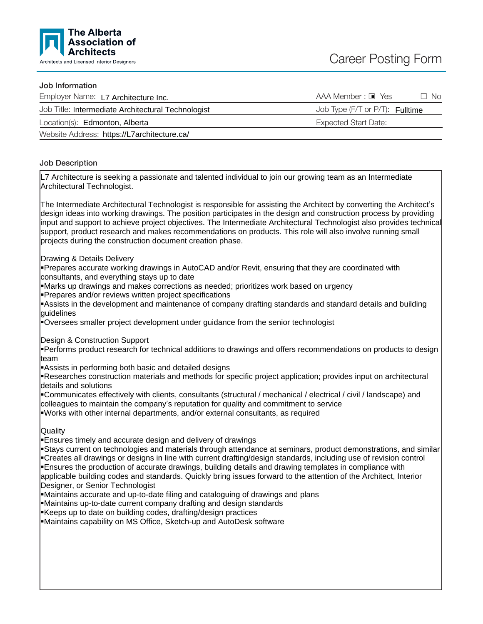

#### Job Information

| Employer Name: L7 Architecture Inc.                | $AAA$ Member : $\blacksquare$ Yes<br>$\Box$ No |
|----------------------------------------------------|------------------------------------------------|
| Job Title: Intermediate Architectural Technologist | Job Type (F/T or P/T): Fulltime                |
| Location(s): Edmonton, Alberta                     | <b>Expected Start Date:</b>                    |
| Website Address: https://L7architecture.ca/        |                                                |

# Job Description

L7 Architecture is seeking a passionate and talented individual to join our growing team as an Intermediate Architectural Technologist.

The Intermediate Architectural Technologist is responsible for assisting the Architect by converting the Architect ' s design ideas into working drawings. The position participates in the design and construction process by providing input and support to achieve project objectives. The Intermediate Architectural Technologist also provides technical support, product research and makes recommendations on products. This role will also involve running small projects during the construction document creation phase.

# Drawing & Details Delivery

Prepares accurate working drawings in AutoCAD and/or Revit, ensuring that they are coordinated with consultants, and everything stays up to date

Marks up drawings and makes corrections as needed; prioritizes work based on urgency

Prepares and/or reviews written project specifications

Assists in the development and maintenance of company drafting standards and standard details and building guidelines

ßOversees smaller project development under guidance from the senior technologist

Design & Construction Support

Performs product research for technical additions to drawings and offers recommendations on products to design team

Assists in performing both basic and detailed designs

Researches construction materials and methods for specific project application; provides input on architectural details and solutions

ßCommunicates effectively with clients, consultants (structural / mechanical / electrical / civil / landscape) and colleagues to maintain the company 's reputation for quality and commitment to service ßWorks with other internal departments, and/or external consultants, as required

Quality

ßEnsures timely and accurate design and delivery of drawings

Stays current on technologies and materials through attendance at seminars, product demonstrations, and similar

ßCreates all drawings or designs in line with current drafting/design standards, including use of revision control

Ensures the production of accurate drawings, building details and drawing templates in compliance with applicable building codes and standards. Quickly bring issues forward to the attention of the Architect, Interior

Designer, or Senior Technologist

ßMaintains accurate and up-to-date filing and cataloguing of drawings and plans

ßMaintains up-to-date current company drafting and design standards

Keeps up to date on building codes, drafting/design practices

ßMaintains capability on MS Office, Sketch-up and AutoDesk software